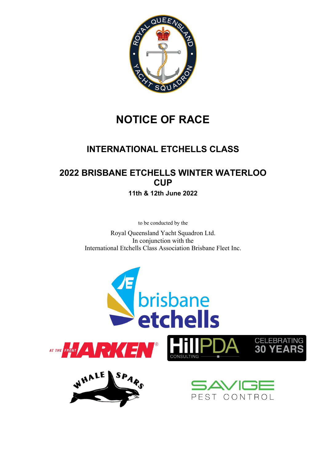

# **NOTICE OF RACE**

## **INTERNATIONAL ETCHELLS CLASS**

## **2022 BRISBANE ETCHELLS WINTER WATERLOO CUP**

**11th & 12th June 2022**

to be conducted by the

Royal Queensland Yacht Squadron Ltd. In conjunction with the International Etchells Class Association Brisbane Fleet Inc.

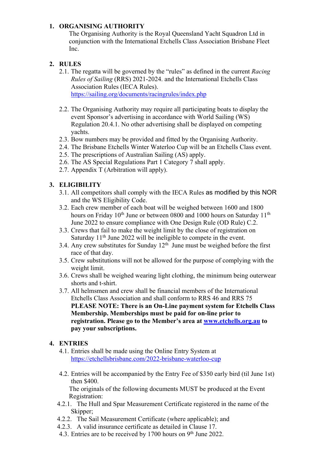## **1. ORGANISING AUTHORITY**

The Organising Authority is the Royal Queensland Yacht Squadron Ltd in conjunction with the International Etchells Class Association Brisbane Fleet Inc.

#### **2. RULES**

- 2.1. The regatta will be governed by the "rules" as defined in the current *Racing Rules of Sailing* (RRS) 2021-2024. and the International Etchells Class Association Rules (IECA Rules). https://sailing.org/documents/racingrules/index.php
- 2.2. The Organising Authority may require all participating boats to display the event Sponsor's advertising in accordance with World Sailing (WS) Regulation 20.4.1. No other advertising shall be displayed on competing yachts.
- 2.3. Bow numbers may be provided and fitted by the Organising Authority.
- 2.4. The Brisbane Etchells Winter Waterloo Cup will be an Etchells Class event.
- 2.5. The prescriptions of Australian Sailing (AS) apply.
- 2.6. The AS Special Regulations Part 1 Category 7 shall apply.
- 2.7. Appendix T (Arbitration will apply).

#### **3. ELIGIBILITY**

- 3.1. All competitors shall comply with the IECA Rules as modified by this NOR and the WS Eligibility Code.
- 3.2. Each crew member of each boat will be weighed between 1600 and 1800 hours on Friday 10<sup>th</sup> June or between 0800 and 1000 hours on Saturday 11<sup>th</sup> June 2022 to ensure compliance with One Design Rule (OD Rule) C.2.
- 3.3. Crews that fail to make the weight limit by the close of registration on Saturday 11<sup>th</sup> June 2022 will be ineligible to compete in the event.
- 3.4. Any crew substitutes for Sunday  $12<sup>th</sup>$  June must be weighed before the first race of that day.
- 3.5. Crew substitutions will not be allowed for the purpose of complying with the weight limit.
- 3.6. Crews shall be weighed wearing light clothing, the minimum being outerwear shorts and t-shirt.
- 3.7. All helmsmen and crew shall be financial members of the International Etchells Class Association and shall conform to RRS 46 and RRS 75 **PLEASE NOTE: There is an On-Line payment system for Etchells Class Membership. Memberships must be paid for on-line prior to registration. Please go to the Member's area at www.etchells.org.au to pay your subscriptions.**

#### **4. ENTRIES**

- 4.1. Entries shall be made using the Online Entry System at https://etchellsbrisbane.com/2022-brisbane-waterloo-cup
- 4.2. Entries will be accompanied by the Entry Fee of \$350 early bird (til June 1st) then \$400.

The originals of the following documents MUST be produced at the Event Registration:

- 4.2.1. The Hull and Spar Measurement Certificate registered in the name of the Skipper;
- 4.2.2. The Sail Measurement Certificate (where applicable); and
- 4.2.3. A valid insurance certificate as detailed in Clause 17.
- 4.3. Entries are to be received by 1700 hours on 9<sup>th</sup> June 2022.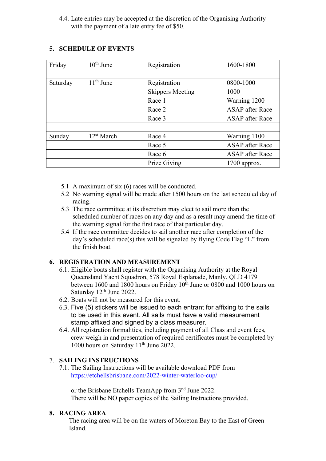4.4. Late entries may be accepted at the discretion of the Organising Authority with the payment of a late entry fee of \$50.

| Friday   | $10th$ June            | Registration            | 1600-1800              |
|----------|------------------------|-------------------------|------------------------|
|          |                        |                         |                        |
| Saturday | $11th$ June            | Registration            | 0800-1000              |
|          |                        | <b>Skippers Meeting</b> | 1000                   |
|          |                        | Race 1                  | Warning 1200           |
|          |                        | Race 2                  | <b>ASAP</b> after Race |
|          |                        | Race 3                  | <b>ASAP</b> after Race |
|          |                        |                         |                        |
| Sunday   | 12 <sup>st</sup> March | Race 4                  | Warning 1100           |
|          |                        | Race 5                  | <b>ASAP</b> after Race |
|          |                        | Race 6                  | <b>ASAP</b> after Race |
|          |                        | Prize Giving            | $1700$ approx.         |

## **5. SCHEDULE OF EVENTS**

- 5.1 A maximum of six (6) races will be conducted.
- 5.2 No warning signal will be made after 1500 hours on the last scheduled day of racing.
- 5.3 The race committee at its discretion may elect to sail more than the scheduled number of races on any day and as a result may amend the time of the warning signal for the first race of that particular day.
- 5.4 If the race committee decides to sail another race after completion of the day's scheduled race(s) this will be signaled by flying Code Flag "L" from the finish boat.

## **6. REGISTRATION AND MEASUREMENT**

- 6.1. Eligible boats shall register with the Organising Authority at the Royal Queensland Yacht Squadron, 578 Royal Esplanade, Manly, QLD 4179 between 1600 and 1800 hours on Friday  $10<sup>th</sup>$  June or 0800 and 1000 hours on Saturday 12<sup>th</sup> June 2022.
- 6.2. Boats will not be measured for this event.
- 6.3. Five (5) stickers will be issued to each entrant for affixing to the sails to be used in this event. All sails must have a valid measurement stamp affixed and signed by a class measurer.
- 6.4. All registration formalities, including payment of all Class and event fees, crew weigh in and presentation of required certificates must be completed by 1000 hours on Saturday 11<sup>th</sup> June 2022.

## 7. **SAILING INSTRUCTIONS**

7.1. The Sailing Instructions will be available download PDF from https://etchellsbrisbane.com/2022-winter-waterloo-cup/

or the Brisbane Etchells TeamApp from 3nd June 2022. There will be NO paper copies of the Sailing Instructions provided.

#### **8. RACING AREA**

The racing area will be on the waters of Moreton Bay to the East of Green Island.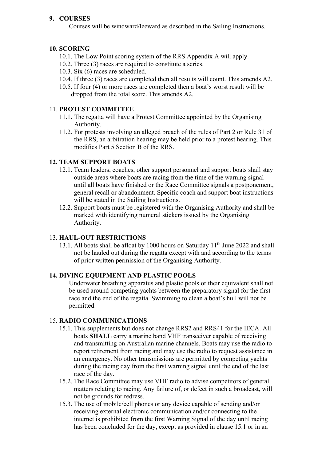## **9. COURSES**

Courses will be windward/leeward as described in the Sailing Instructions.

## **10. SCORING**

- 10.1. The Low Point scoring system of the RRS Appendix A will apply.
- 10.2. Three (3) races are required to constitute a series.
- 10.3. Six (6) races are scheduled.
- 10.4. If three (3) races are completed then all results will count. This amends A2.
- 10.5. If four (4) or more races are completed then a boat's worst result will be dropped from the total score. This amends A2.

## 11. **PROTEST COMMITTEE**

- 11.1. The regatta will have a Protest Committee appointed by the Organising Authority.
- 11.2. For protests involving an alleged breach of the rules of Part 2 or Rule 31 of the RRS, an arbitration hearing may be held prior to a protest hearing. This modifies Part 5 Section B of the RRS.

## **12. TEAM SUPPORT BOATS**

- 12.1. Team leaders, coaches, other support personnel and support boats shall stay outside areas where boats are racing from the time of the warning signal until all boats have finished or the Race Committee signals a postponement, general recall or abandonment. Specific coach and support boat instructions will be stated in the Sailing Instructions.
- 12.2. Support boats must be registered with the Organising Authority and shall be marked with identifying numeral stickers issued by the Organising Authority.

## 13. **HAUL-OUT RESTRICTIONS**

13.1. All boats shall be afloat by 1000 hours on Saturday 11<sup>th</sup> June 2022 and shall not be hauled out during the regatta except with and according to the terms of prior written permission of the Organising Authority.

## **14. DIVING EQUIPMENT AND PLASTIC POOLS**

Underwater breathing apparatus and plastic pools or their equivalent shall not be used around competing yachts between the preparatory signal for the first race and the end of the regatta. Swimming to clean a boat's hull will not be permitted.

## 15. **RADIO COMMUNICATIONS**

- 15.1. This supplements but does not change RRS2 and RRS41 for the IECA. All boats **SHALL** carry a marine band VHF transceiver capable of receiving and transmitting on Australian marine channels. Boats may use the radio to report retirement from racing and may use the radio to request assistance in an emergency. No other transmissions are permitted by competing yachts during the racing day from the first warning signal until the end of the last race of the day.
- 15.2. The Race Committee may use VHF radio to advise competitors of general matters relating to racing. Any failure of, or defect in such a broadcast, will not be grounds for redress.
- 15.3. The use of mobile/cell phones or any device capable of sending and/or receiving external electronic communication and/or connecting to the internet is prohibited from the first Warning Signal of the day until racing has been concluded for the day, except as provided in clause 15.1 or in an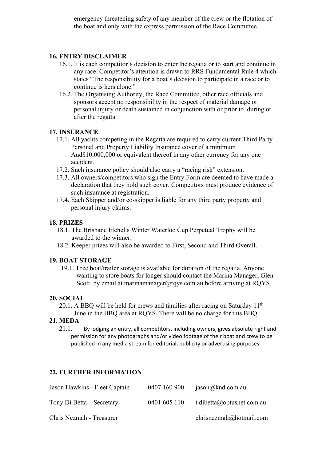emergency threatening safety of any member of the crew or the flotation of the boat and only with the express permission of the Race Committee.

#### **16. ENTRY DISCLAIMER**

- 16.1. It is each competitor's decision to enter the regatta or to start and continue in any race. Competitor's attention is drawn to RRS Fundamental Rule 4 which states "The responsibility for a boat's decision to participate in a race or to continue is hers alone."
- 16.2. The Organising Authority, the Race Committee, other race officials and sponsors accept no responsibility in the respect of material damage or personal injury or death sustained in conjunction with or prior to, during or after the regatta.

#### **17. INSURANCE**

- 17.1. All yachts competing in the Regatta are required to carry current Third Party Personal and Property Liability Insurance cover of a minimum Aud\$10,000,000 or equivalent thereof in any other currency for any one accident.
- 17.2. Such insurance policy should also carry a "racing risk" extension.
- 17.3. All owners/competitors who sign the Entry Form are deemed to have made a declaration that they hold such cover. Competitors must produce evidence of such insurance at registration.
- 17.4. Each Skipper and/or co-skipper is liable for any third party property and personal injury claims.

#### **18. PRIZES**

- 18.1. The Brisbane Etchells Winter Waterloo Cup Perpetual Trophy will be awarded to the winner.
- 18.2. Keeper prizes will also be awarded to First, Second and Third Overall.

#### **19. BOAT STORAGE**

19.1. Free boat/trailer storage is available for duration of the regatta. Anyone wanting to store boats for longer should contact the Marina Manager, Glen Scott, by email at marinamanager@rqys.com.au before arriving at RQYS.

#### **20. SOCIAL**

20.1. A BBQ will be held for crews and families after racing on Saturday  $11<sup>th</sup>$ June in the BBQ area at RQYS. There will be no charge for this BBQ.

#### **21. MEDA**

21.1. By lodging an entry, all competitors, including owners, gives absolute right and permission for any photographs and/or video footage of their boat and crew to be published in any media stream for editorial, publicity or advertising purposes.

## **22. FURTHER INFORMATION**

| Jason Hawkins - Fleet Captain | 0407 160 900 | jason@knd.com.au          |
|-------------------------------|--------------|---------------------------|
| Tony Di Betta – Secretary     | 0401 605 110 | t.dibetta@optusnet.com.au |
| Chris Nezmah - Treasurer      |              | chrisnezmah@hotmail.com   |